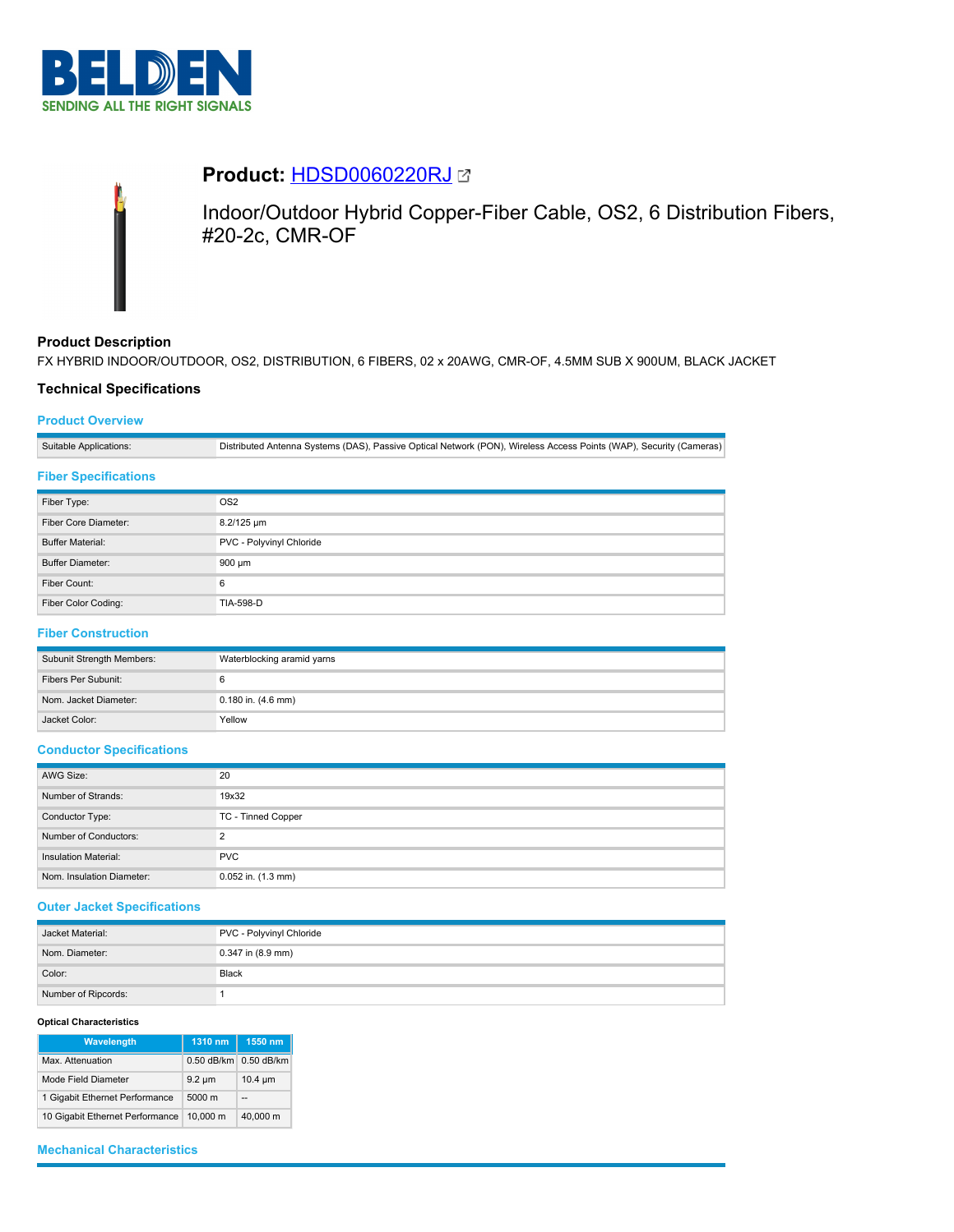



# **Product:** [HDSD0060220RJ](https://catalog.belden.com/index.cfm?event=pd&p=PF_HDSD0060220RJ&tab=downloads)

Indoor/Outdoor Hybrid Copper-Fiber Cable, OS2, 6 Distribution Fibers, #20-2c, CMR-OF

## **Product Description**

FX HYBRID INDOOR/OUTDOOR, OS2, DISTRIBUTION, 6 FIBERS, 02 x 20AWG, CMR-OF, 4.5MM SUB X 900UM, BLACK JACKET

## **Technical Specifications**

## **Product Overview**

Suitable Applications: Distributed Antenna Systems (DAS), Passive Optical Network (PON), Wireless Access Points (WAP), Security (Cameras)

### **Fiber Specifications**

| Fiber Type:             | OS <sub>2</sub>          |  |
|-------------------------|--------------------------|--|
| Fiber Core Diameter:    | 8.2/125 um               |  |
| <b>Buffer Material:</b> | PVC - Polyvinyl Chloride |  |
| <b>Buffer Diameter:</b> | 900 µm                   |  |
| Fiber Count:            | 6                        |  |
| Fiber Color Coding:     | <b>TIA-598-D</b>         |  |

# **Fiber Construction**

| Subunit Strength Members: | Waterblocking aramid yarns |  |
|---------------------------|----------------------------|--|
| Fibers Per Subunit:       |                            |  |
| Nom. Jacket Diameter:     | $0.180$ in. $(4.6$ mm)     |  |
| Jacket Color:             | Yellow                     |  |

### **Conductor Specifications**

| AWG Size:                   | 20                     |  |
|-----------------------------|------------------------|--|
| Number of Strands:          | 19x32                  |  |
| Conductor Type:             | TC - Tinned Copper     |  |
| Number of Conductors:       | ◠                      |  |
| <b>Insulation Material:</b> | <b>PVC</b>             |  |
| Nom. Insulation Diameter:   | $0.052$ in. $(1.3$ mm) |  |

### **Outer Jacket Specifications**

| Jacket Material:    | PVC - Polyvinyl Chloride |
|---------------------|--------------------------|
| Nom. Diameter:      | 0.347 in (8.9 mm)        |
| Color:              | Black                    |
| Number of Ripcords: |                          |

#### **Optical Characteristics**

| Wavelength                      | 1310 nm      | 1550 nm      |
|---------------------------------|--------------|--------------|
| Max. Attenuation                | $0.50$ dB/km | $0.50$ dB/km |
| Mode Field Diameter             | $9.2 \mu m$  | $10.4 \mu m$ |
| 1 Gigabit Ethernet Performance  | 5000 m       | --           |
| 10 Gigabit Ethernet Performance | 10.000 m     | 40.000 m     |

# **Mechanical Characteristics**